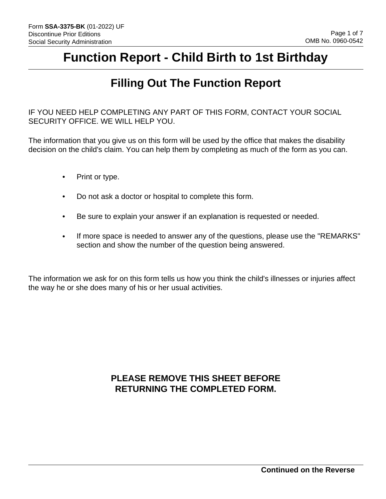# **Function Report - Child Birth to 1st Birthday**

## **Filling Out The Function Report**

IF YOU NEED HELP COMPLETING ANY PART OF THIS FORM, CONTACT YOUR SOCIAL SECURITY OFFICE. WE WILL HELP YOU.

The information that you give us on this form will be used by the office that makes the disability decision on the child's claim. You can help them by completing as much of the form as you can.

- Print or type.
- Do not ask a doctor or hospital to complete this form.
- Be sure to explain your answer if an explanation is requested or needed.
- If more space is needed to answer any of the questions, please use the "REMARKS" section and show the number of the question being answered.

The information we ask for on this form tells us how you think the child's illnesses or injuries affect the way he or she does many of his or her usual activities.

## **PLEASE REMOVE THIS SHEET BEFORE RETURNING THE COMPLETED FORM.**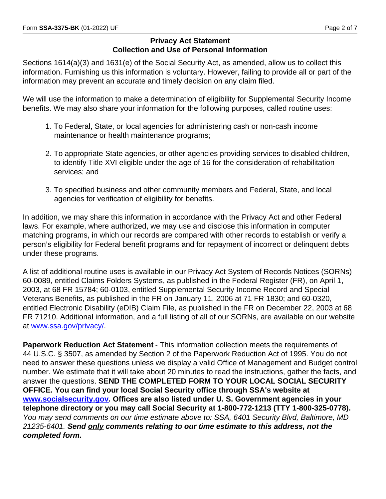#### **Privacy Act Statement Collection and Use of Personal Information**

Sections 1614(a)(3) and 1631(e) of the Social Security Act, as amended, allow us to collect this information. Furnishing us this information is voluntary. However, failing to provide all or part of the information may prevent an accurate and timely decision on any claim filed.

We will use the information to make a determination of eligibility for Supplemental Security Income benefits. We may also share your information for the following purposes, called routine uses:

- 1. To Federal, State, or local agencies for administering cash or non-cash income maintenance or health maintenance programs;
- 2. To appropriate State agencies, or other agencies providing services to disabled children, to identify Title XVI eligible under the age of 16 for the consideration of rehabilitation services; and
- 3. To specified business and other community members and Federal, State, and local agencies for verification of eligibility for benefits.

In addition, we may share this information in accordance with the Privacy Act and other Federal laws. For example, where authorized, we may use and disclose this information in computer matching programs, in which our records are compared with other records to establish or verify a person's eligibility for Federal benefit programs and for repayment of incorrect or delinquent debts under these programs.

A list of additional routine uses is available in our Privacy Act System of Records Notices (SORNs) 60-0089, entitled Claims Folders Systems, as published in the Federal Register (FR), on April 1, 2003, at 68 FR 15784; 60-0103, entitled Supplemental Security Income Record and Special Veterans Benefits, as published in the FR on January 11, 2006 at 71 FR 1830; and 60-0320, entitled Electronic Disability (eDIB) Claim File, as published in the FR on December 22, 2003 at 68 FR 71210. Additional information, and a full listing of all of our SORNs, are available on our website at www.ssa.gov/privacy/.

**Paperwork Reduction Act Statement** - This information collection meets the requirements of 44 U.S.C. § 3507, as amended by Section 2 of the Paperwork Reduction Act of 1995. You do not need to answer these questions unless we display a valid Office of Management and Budget control number. We estimate that it will take about 20 minutes to read the instructions, gather the facts, and answer the questions. **SEND THE COMPLETED FORM TO YOUR LOCAL SOCIAL SECURITY OFFICE. You can find your local Social Security office through SSA's website at www.socialsecurity.gov. Offices are also listed under U. S. Government agencies in your telephone directory or you may call Social Security at 1-800-772-1213 (TTY 1-800-325-0778).**  *You may send comments on our time estimate above to: SSA, 6401 Security Blvd, Baltimore, MD 21235-6401. Send only comments relating to our time estimate to this address, not the completed form.*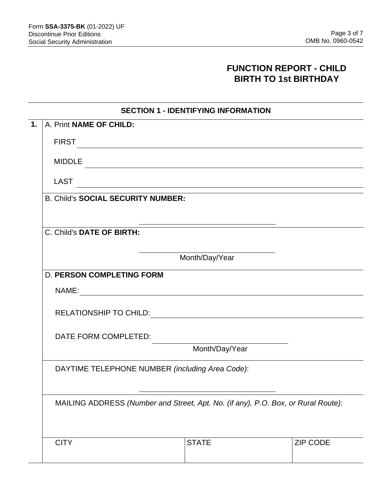## **FUNCTION REPORT - CHILD BIRTH TO 1st BIRTHDAY**

|  |  | <b>SECTION 1 - IDENTIFYING INFORMATION</b> |
|--|--|--------------------------------------------|
|--|--|--------------------------------------------|

| $\overline{1.}$      | A. Print NAME OF CHILD:                                                                                                               |  |  |  |  |  |  |  |
|----------------------|---------------------------------------------------------------------------------------------------------------------------------------|--|--|--|--|--|--|--|
|                      | <b>FIRST</b>                                                                                                                          |  |  |  |  |  |  |  |
|                      | <b>MIDDLE</b><br><u> Alexandria de la contrada de la contrada de la contrada de la contrada de la contrada de la contrada de la c</u> |  |  |  |  |  |  |  |
|                      | LAST<br><u> 1989 - Johann Stoff, amerikansk politiker (d. 1989)</u>                                                                   |  |  |  |  |  |  |  |
|                      | <b>B. Child's SOCIAL SECURITY NUMBER:</b>                                                                                             |  |  |  |  |  |  |  |
|                      |                                                                                                                                       |  |  |  |  |  |  |  |
|                      | C. Child's DATE OF BIRTH:                                                                                                             |  |  |  |  |  |  |  |
|                      | Month/Day/Year                                                                                                                        |  |  |  |  |  |  |  |
|                      | <b>D. PERSON COMPLETING FORM</b>                                                                                                      |  |  |  |  |  |  |  |
| NAME: NAME:          |                                                                                                                                       |  |  |  |  |  |  |  |
|                      |                                                                                                                                       |  |  |  |  |  |  |  |
| DATE FORM COMPLETED: |                                                                                                                                       |  |  |  |  |  |  |  |
|                      | Month/Day/Year                                                                                                                        |  |  |  |  |  |  |  |
|                      | DAYTIME TELEPHONE NUMBER (including Area Code):<br>MAILING ADDRESS (Number and Street, Apt. No. (if any), P.O. Box, or Rural Route):  |  |  |  |  |  |  |  |
|                      |                                                                                                                                       |  |  |  |  |  |  |  |
|                      | ZIP CODE<br><b>CITY</b><br><b>STATE</b>                                                                                               |  |  |  |  |  |  |  |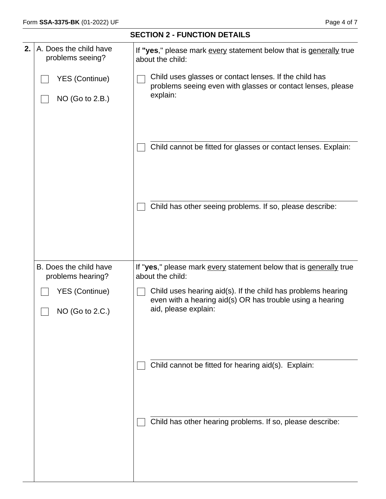|    | <b>SECTION 2 - FUNCTION DETAILS</b>         |                                                                                                                                                   |  |  |  |  |  |  |
|----|---------------------------------------------|---------------------------------------------------------------------------------------------------------------------------------------------------|--|--|--|--|--|--|
| 2. | A. Does the child have<br>problems seeing?  | If "yes," please mark every statement below that is generally true<br>about the child:                                                            |  |  |  |  |  |  |
|    | <b>YES (Continue)</b><br>NO (Go to 2.B.)    | Child uses glasses or contact lenses. If the child has<br>problems seeing even with glasses or contact lenses, please<br>explain:                 |  |  |  |  |  |  |
|    |                                             | Child cannot be fitted for glasses or contact lenses. Explain:                                                                                    |  |  |  |  |  |  |
|    |                                             | Child has other seeing problems. If so, please describe:                                                                                          |  |  |  |  |  |  |
|    |                                             |                                                                                                                                                   |  |  |  |  |  |  |
|    | B. Does the child have<br>problems hearing? | If "yes," please mark every statement below that is generally true<br>about the child:                                                            |  |  |  |  |  |  |
|    | <b>YES (Continue)</b><br>NO (Go to 2.C.)    | Child uses hearing aid(s). If the child has problems hearing<br>even with a hearing aid(s) OR has trouble using a hearing<br>aid, please explain: |  |  |  |  |  |  |
|    |                                             |                                                                                                                                                   |  |  |  |  |  |  |
|    |                                             | Child cannot be fitted for hearing aid(s). Explain:                                                                                               |  |  |  |  |  |  |
|    |                                             | Child has other hearing problems. If so, please describe:                                                                                         |  |  |  |  |  |  |
|    |                                             |                                                                                                                                                   |  |  |  |  |  |  |
|    |                                             |                                                                                                                                                   |  |  |  |  |  |  |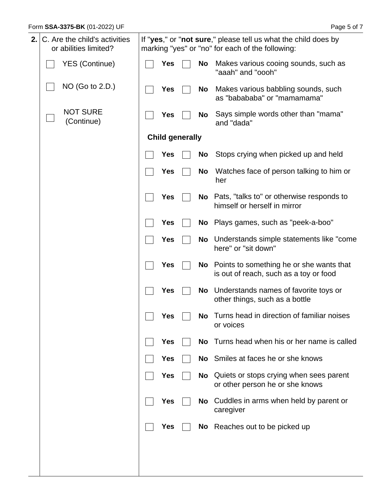| 2. | C. Are the child's activities<br>or abilities limited? | If "yes," or "not sure," please tell us what the child does by<br>marking "yes" or "no" for each of the following: |                        |  |           |                                                                                    |
|----|--------------------------------------------------------|--------------------------------------------------------------------------------------------------------------------|------------------------|--|-----------|------------------------------------------------------------------------------------|
|    | <b>YES (Continue)</b>                                  |                                                                                                                    | Yes                    |  | No        | Makes various cooing sounds, such as<br>"aaah" and "oooh"                          |
|    | NO (Go to 2.D.)                                        |                                                                                                                    | <b>Yes</b>             |  | No        | Makes various babbling sounds, such<br>as "babababa" or "mamamama"                 |
|    | <b>NOT SURE</b><br>(Continue)                          |                                                                                                                    | <b>Yes</b>             |  | No        | Says simple words other than "mama"<br>and "dada"                                  |
|    |                                                        |                                                                                                                    | <b>Child generally</b> |  |           |                                                                                    |
|    |                                                        |                                                                                                                    | Yes                    |  | <b>No</b> | Stops crying when picked up and held                                               |
|    |                                                        |                                                                                                                    | Yes                    |  | <b>No</b> | Watches face of person talking to him or<br>her                                    |
|    |                                                        |                                                                                                                    | Yes                    |  | No        | Pats, "talks to" or otherwise responds to<br>himself or herself in mirror          |
|    |                                                        |                                                                                                                    | Yes                    |  |           | No Plays games, such as "peek-a-boo"                                               |
|    |                                                        |                                                                                                                    | <b>Yes</b>             |  | No        | Understands simple statements like "come"<br>here" or "sit down"                   |
|    |                                                        |                                                                                                                    | Yes                    |  | No        | Points to something he or she wants that<br>is out of reach, such as a toy or food |
|    |                                                        |                                                                                                                    | <b>Yes</b>             |  | No        | Understands names of favorite toys or<br>other things, such as a bottle            |
|    |                                                        |                                                                                                                    | <b>Yes</b>             |  |           | No Turns head in direction of familiar noises<br>or voices                         |
|    |                                                        |                                                                                                                    | Yes                    |  | <b>No</b> | Turns head when his or her name is called                                          |
|    |                                                        |                                                                                                                    | Yes                    |  |           | No Smiles at faces he or she knows                                                 |
|    |                                                        |                                                                                                                    | Yes                    |  | No        | Quiets or stops crying when sees parent<br>or other person he or she knows         |
|    |                                                        |                                                                                                                    | Yes                    |  | No.       | Cuddles in arms when held by parent or<br>caregiver                                |
|    |                                                        |                                                                                                                    | Yes                    |  |           | No Reaches out to be picked up                                                     |
|    |                                                        |                                                                                                                    |                        |  |           |                                                                                    |
|    |                                                        |                                                                                                                    |                        |  |           |                                                                                    |
|    |                                                        |                                                                                                                    |                        |  |           |                                                                                    |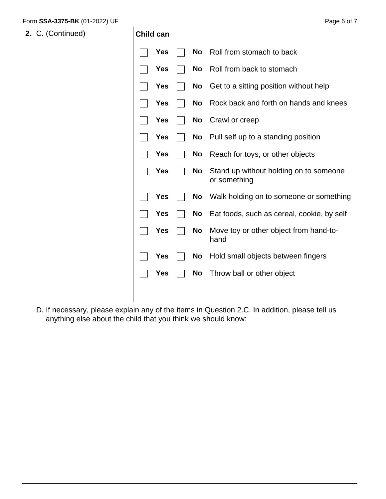| 2.1 | C. (Continued) | Child can |            |           |                                                                                               |
|-----|----------------|-----------|------------|-----------|-----------------------------------------------------------------------------------------------|
|     |                |           | <b>Yes</b> | <b>No</b> | Roll from stomach to back                                                                     |
|     |                |           | <b>Yes</b> | <b>No</b> | Roll from back to stomach                                                                     |
|     |                |           | <b>Yes</b> | <b>No</b> | Get to a sitting position without help                                                        |
|     |                |           | Yes        | <b>No</b> | Rock back and forth on hands and knees                                                        |
|     |                |           | Yes        | No        | Crawl or creep                                                                                |
|     |                |           | <b>Yes</b> | <b>No</b> | Pull self up to a standing position                                                           |
|     |                |           | <b>Yes</b> | <b>No</b> | Reach for toys, or other objects                                                              |
|     |                |           | <b>Yes</b> | <b>No</b> | Stand up without holding on to someone<br>or something                                        |
|     |                |           | <b>Yes</b> | <b>No</b> | Walk holding on to someone or something                                                       |
|     |                |           | <b>Yes</b> | <b>No</b> | Eat foods, such as cereal, cookie, by self                                                    |
|     |                |           | <b>Yes</b> | <b>No</b> | Move toy or other object from hand-to-<br>hand                                                |
|     |                |           | <b>Yes</b> | No        | Hold small objects between fingers                                                            |
|     |                |           | <b>Yes</b> | <b>No</b> | Throw ball or other object                                                                    |
|     |                |           |            |           |                                                                                               |
|     |                |           |            |           | D. If necessary, please explain any of the items in Question 2 C. In addition, please tell us |

D. If necessary, please explain any of the items in Question 2.C. In addition, please tell us anything else about the child that you think we should know: